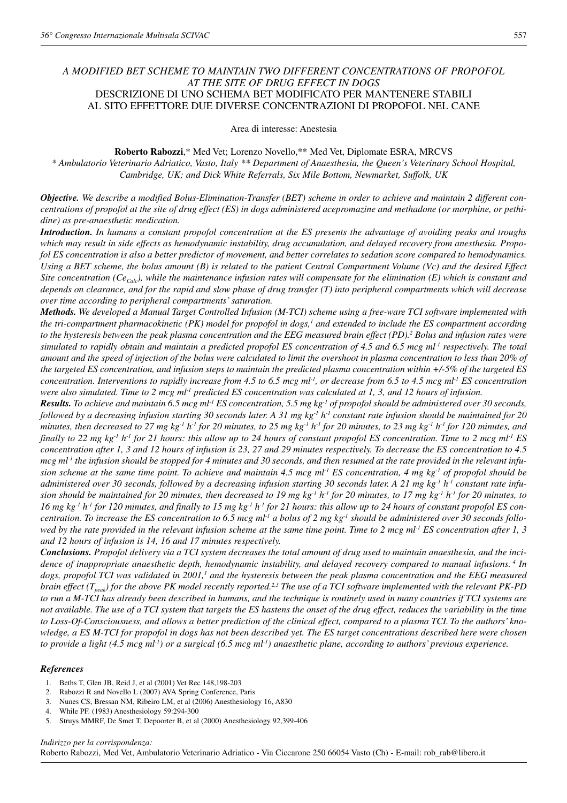## *A MODIFIED BET SCHEME TO MAINTAIN TWO DIFFERENT CONCENTRATIONS OF PROPOFOL AT THE SITE OF DRUG EFFECT IN DOGS* DESCRIZIONE DI UNO SCHEMA BET MODIFICATO PER MANTENERE STABILI AL SITO EFFETTORE DUE DIVERSE CONCENTRAZIONI DI PROPOFOL NEL CANE

Area di interesse: Anestesia

**Roberto Rabozzi**,\* Med Vet; Lorenzo Novello,\*\* Med Vet, Diplomate ESRA, MRCVS *\* Ambulatorio Veterinario Adriatico, Vasto, Italy \*\* Department of Anaesthesia, the Queen's Veterinary School Hospital, Cambridge, UK; and Dick White Referrals, Six Mile Bottom, Newmarket, Suffolk, UK*

*Objective. We describe a modified Bolus-Elimination-Transfer (BET) scheme in order to achieve and maintain 2 different concentrations of propofol at the site of drug effect (ES) in dogs administered acepromazine and methadone (or morphine, or pethidine) as pre-anaesthetic medication.*

*Introduction. In humans a constant propofol concentration at the ES presents the advantage of avoiding peaks and troughs which may result in side effects as hemodynamic instability, drug accumulation, and delayed recovery from anesthesia. Propofol ES concentration is also a better predictor of movement, and better correlates to sedation score compared to hemodynamics. Using a BET scheme, the bolus amount (B) is related to the patient Central Compartment Volume (Vc) and the desired Effect Site concentration (Ce<sub>Calc</sub>), while the maintenance infusion rates will compensate for the elimination (E) which is constant and depends on clearance, and for the rapid and slow phase of drug transfer (T) into peripheral compartments which will decrease over time according to peripheral compartments' saturation.*

*Methods. We developed a Manual Target Controlled Infusion (M-TCI) scheme using a free-ware TCI software implemented with the tri-compartment pharmacokinetic (PK) model for propofol in dogs,<sup>1</sup> and extended to include the ES compartment according to the hysteresis between the peak plasma concentration and the EEG measured brain effect (PD).2 Bolus and infusion rates were simulated to rapidly obtain and maintain a predicted propofol ES concentration of 4.5 and 6.5 mcg ml-1 respectively. The total amount and the speed of injection of the bolus were calculated to limit the overshoot in plasma concentration to less than 20% of the targeted ES concentration, and infusion steps to maintain the predicted plasma concentration within +/-5% of the targeted ES concentration. Interventions to rapidly increase from 4.5 to 6.5 mcg ml-1, or decrease from 6.5 to 4.5 mcg ml-1 ES concentration were also simulated. Time to 2 mcg ml-1 predicted ES concentration was calculated at 1, 3, and 12 hours of infusion.*

*Results. To achieve and maintain 6.5 mcg ml-1 ES concentration, 5.5 mg kg-1 of propofol should be administered over 30 seconds, followed by a decreasing infusion starting 30 seconds later. A 31 mg kg-1 h-1 constant rate infusion should be maintained for 20 minutes, then decreased to 27 mg kg-1 h-1 for 20 minutes, to 25 mg kg-1 h-1 for 20 minutes, to 23 mg kg-1 h-1 for 120 minutes, and finally to 22 mg kg-1 h-1 for 21 hours: this allow up to 24 hours of constant propofol ES concentration. Time to 2 mcg ml-1 ES concentration after 1, 3 and 12 hours of infusion is 23, 27 and 29 minutes respectively. To decrease the ES concentration to 4.5 mcg ml-1 the infusion should be stopped for 4 minutes and 30 seconds, and then resumed at the rate provided in the relevant infusion scheme at the same time point. To achieve and maintain 4.5 mcg ml-1 ES concentration, 4 mg kg-1 of propofol should be administered over 30 seconds, followed by a decreasing infusion starting 30 seconds later. A 21 mg kg-1 h-1 constant rate infusion should be maintained for 20 minutes, then decreased to 19 mg kg-1 h-1 for 20 minutes, to 17 mg kg-1 h-1 for 20 minutes, to* 16 mg kg<sup>-1</sup>  $h$ <sup>-1</sup> for 120 minutes, and finally to 15 mg kg<sup>-1</sup>  $h$ <sup>-1</sup> for 21 hours: this allow up to 24 hours of constant propofol ES con*centration. To increase the ES concentration to 6.5 mcg ml-1 a bolus of 2 mg kg-1 should be administered over 30 seconds followed by the rate provided in the relevant infusion scheme at the same time point. Time to 2 mcg ml<sup>-1</sup> <i>ES concentration after 1, 3 and 12 hours of infusion is 14, 16 and 17 minutes respectively.*

*Conclusions. Propofol delivery via a TCI system decreases the total amount of drug used to maintain anaesthesia, and the incidence of inappropriate anaesthetic depth, hemodynamic instability, and delayed recovery compared to manual infusions. <sup>4</sup> In dogs, propofol TCI was validated in 2001,<sup>1</sup> and the hysteresis between the peak plasma concentration and the EEG measured brain effect (Tpeak) for the above PK model recently reported.2,3 The use of a TCI software implemented with the relevant PK-PD to run a M-TCI has already been described in humans, and the technique is routinely used in many countries if TCI systems are not available. The use of a TCI system that targets the ES hastens the onset of the drug effect, reduces the variability in the time to Loss-Of-Consciousness, and allows a better prediction of the clinical effect, compared to a plasma TCI. To the authors' knowledge, a ES M-TCI for propofol in dogs has not been described yet. The ES target concentrations described here were chosen to provide a light (4.5 mcg ml-1) or a surgical (6.5 mcg ml-1) anaesthetic plane, according to authors' previous experience.*

## *References*

- 1. Beths T, Glen JB, Reid J, et al (2001) Vet Rec 148,198-203
- 2. Rabozzi R and Novello L (2007) AVA Spring Conference, Paris
- 3. Nunes CS, Bressan NM, Ribeiro LM, et al (2006) Anesthesiology 16, A830
- 4. While PF. (1983) Anesthesiology 59:294-300
- 5. Struys MMRF, De Smet T, Depoorter B, et al (2000) Anesthesiology 92,399-406

*Indirizzo per la corrispondenza:* Roberto Rabozzi, Med Vet, Ambulatorio Veterinario Adriatico - Via Ciccarone 250 66054 Vasto (Ch) - E-mail: rob\_rab@libero.it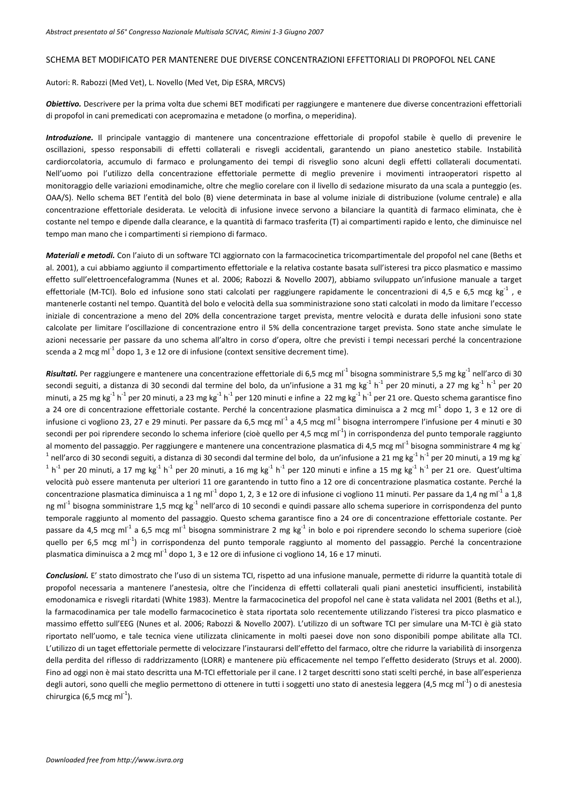## SCHEMA BET MODIFICATO PER MANTENERE DUE DIVERSE CONCENTRAZIONI EFFETTORIALI DI PROPOFOL NEL CANE

Autori: R. Rabozzi (Med Vet), L. Novello (Med Vet, Dip ESRA, MRCVS)

*Obiettivo.* Descrivere per la prima volta due schemi BET modificati per raggiungere e mantenere due diverse concentrazioni effettoriali di propofol in cani premedicati con acepromazina e metadone (o morfina, o meperidina).

*Introduzione.* Il principale vantaggio di mantenere una concentrazione effettoriale di propofol stabile è quello di prevenire le oscillazioni, spesso responsabili di effetti collaterali e risvegli accidentali, garantendo un piano anestetico stabile. Instabilità cardiorcolatoria, accumulo di farmaco e prolungamento dei tempi di risveglio sono alcuni degli effetti collaterali documentati. Nell'uomo poi l'utilizzo della concentrazione effettoriale permette di meglio prevenire i movimenti intraoperatori rispetto al monitoraggio delle variazioni emodinamiche, oltre che meglio corelare con il livello di sedazione misurato da una scala a punteggio (es. OAA/S). Nello schema BET l'entità del bolo (B) viene determinata in base al volume iniziale di distribuzione (volume centrale) e alla concentrazione effettoriale desiderata. Le velocità di infusione invece servono a bilanciare la quantità di farmaco eliminata, che è costante nel tempo e dipende dalla clearance, e la quantità di farmaco trasferita (T) ai compartimenti rapido e lento, che diminuisce nel tempo man mano che i compartimenti si riempiono di farmaco.

*Materiali e metodi.* Con l'aiuto di un software TCI aggiornato con la farmacocinetica tricompartimentale del propofol nel cane (Beths et al. 2001), a cui abbiamo aggiunto il compartimento effettoriale e la relativa costante basata sull'isteresi tra picco plasmatico e massimo effetto sull'elettroencefalogramma (Nunes et al. 2006; Rabozzi & Novello 2007), abbiamo sviluppato un'infusione manuale a target effettoriale (M-TCI). Bolo ed infusione sono stati calcolati per raggiungere rapidamente le concentrazioni di 4,5 e 6,5 mcg kg<sup>-1</sup>, e mantenerle costanti nel tempo. Quantità del bolo e velocità della sua somministrazione sono stati calcolati in modo da limitare l'eccesso iniziale di concentrazione a meno del 20% della concentrazione target prevista, mentre velocità e durata delle infusioni sono state calcolate per limitare l'oscillazione di concentrazione entro il 5% della concentrazione target prevista. Sono state anche simulate le azioni necessarie per passare da uno schema all'altro in corso d'opera, oltre che previsti i tempi necessari perché la concentrazione scenda a 2 mcg m $I^1$  dopo 1, 3 e 12 ore di infusione (context sensitive decrement time).

*Risultati.* Per raggiungere e mantenere una concentrazione effettoriale di 6,5 mcg ml<sup>-1</sup> bisogna somministrare 5,5 mg kg<sup>-1</sup> nell'arco di 30 secondi seguiti, a distanza di 30 secondi dal termine del bolo, da un'infusione a 31 mg kg $^{-1}$  h<sup>-1</sup> per 20 minuti, a 27 mg kg<sup>-1</sup> h<sup>-1</sup> per 20 minuti, a 25 mg kg<sup>-1</sup> h<sup>-1</sup> per 20 minuti, a 23 mg kg<sup>-1</sup> h<sup>-1</sup> per 120 minuti e infine a 22 mg kg<sup>-1</sup> h<sup>-1</sup> per 21 ore. Questo schema garantisce fino a 24 ore di concentrazione effettoriale costante. Perché la concentrazione plasmatica diminuisca a 2 mcg ml<sup>-1</sup> dopo 1, 3 e 12 ore di infusione ci vogliono 23, 27 e 29 minuti. Per passare da 6,5 mcg ml<sup>-1</sup> a 4,5 mcg ml<sup>-1</sup> bisogna interrompere l'infusione per 4 minuti e 30 secondi per poi riprendere secondo lo schema inferiore (cioè quello per 4,5 mcg ml<sup>-1</sup>) in corrispondenza del punto temporale raggiunto al momento del passaggio. Per raggiungere e mantenere una concentrazione plasmatica di 4,5 mcg ml<sup>-1</sup> bisogna somministrare 4 mg kg<sup>-</sup> <sup>1</sup> nell'arco di 30 secondi seguiti, a distanza di 30 secondi dal termine del bolo, da un'infusione a 21 mg kg<sup>-1</sup> h<sup>-1</sup> per 20 minuti, a 19 mg kg<sup>-</sup>  $1 h^{-1}$  per 20 minuti, a 17 mg kg $^{-1} h^{-1}$  per 20 minuti, a 16 mg kg $^{-1} h^{-1}$  per 120 minuti e infine a 15 mg kg $^{-1} h^{-1}$  per 21 ore. Quest'ultima velocità può essere mantenuta per ulteriori 11 ore garantendo in tutto fino a 12 ore di concentrazione plasmatica costante. Perché la concentrazione plasmatica diminuisca a 1 ng ml<sup>-1</sup> dopo 1, 2, 3 e 12 ore di infusione ci vogliono 11 minuti. Per passare da 1,4 ng ml<sup>-1</sup> a 1,8 ng ml<sup>-1</sup> bisogna somministrare 1,5 mcg kg<sup>-1</sup> nell'arco di 10 secondi e quindi passare allo schema superiore in corrispondenza del punto temporale raggiunto al momento del passaggio. Questo schema garantisce fino a 24 ore di concentrazione effettoriale costante. Per passare da 4,5 mcg ml<sup>-1</sup> a 6,5 mcg ml<sup>-1</sup> bisogna somministrare 2 mg kg<sup>-1</sup> in bolo e poi riprendere secondo lo schema superiore (cioè quello per 6,5 mcg ml<sup>-1</sup>) in corrispondenza del punto temporale raggiunto al momento del passaggio. Perché la concentrazione plasmatica diminuisca a 2 mcg ml<sup>-1</sup> dopo 1, 3 e 12 ore di infusione ci vogliono 14, 16 e 17 minuti.

*Conclusioni.* E' stato dimostrato che l'uso di un sistema TCI, rispetto ad una infusione manuale, permette di ridurre la quantità totale di propofol necessaria a mantenere l'anestesia, oltre che l'incidenza di effetti collaterali quali piani anestetici insufficienti, instabilità emodonamica e risvegli ritardati (White 1983). Mentre la farmacocinetica del propofol nel cane è stata validata nel 2001 (Beths et al.), la farmacodinamica per tale modello farmacocinetico è stata riportata solo recentemente utilizzando l'isteresi tra picco plasmatico e massimo effetto sull'EEG (Nunes et al. 2006; Rabozzi & Novello 2007). L'utilizzo di un software TCI per simulare una M‐TCI è già stato riportato nell'uomo, e tale tecnica viene utilizzata clinicamente in molti paesei dove non sono disponibili pompe abilitate alla TCI. L'utilizzo di un taget effettoriale permette di velocizzare l'instaurarsi dell'effetto del farmaco, oltre che ridurre la variabilità di insorgenza della perdita del riflesso di raddrizzamento (LORR) e mantenere più efficacemente nel tempo l'effetto desiderato (Struys et al. 2000). Fino ad oggi non è mai stato descritta una M‐TCI effettoriale per il cane. I 2 target descritti sono stati scelti perché, in base all'esperienza degli autori, sono quelli che meglio permettono di ottenere in tutti i soggetti uno stato di anestesia leggera (4,5 mcg ml<sup>-1</sup>) o di anestesia chirurgica (6,5 mcg ml $^{-1}$ ).